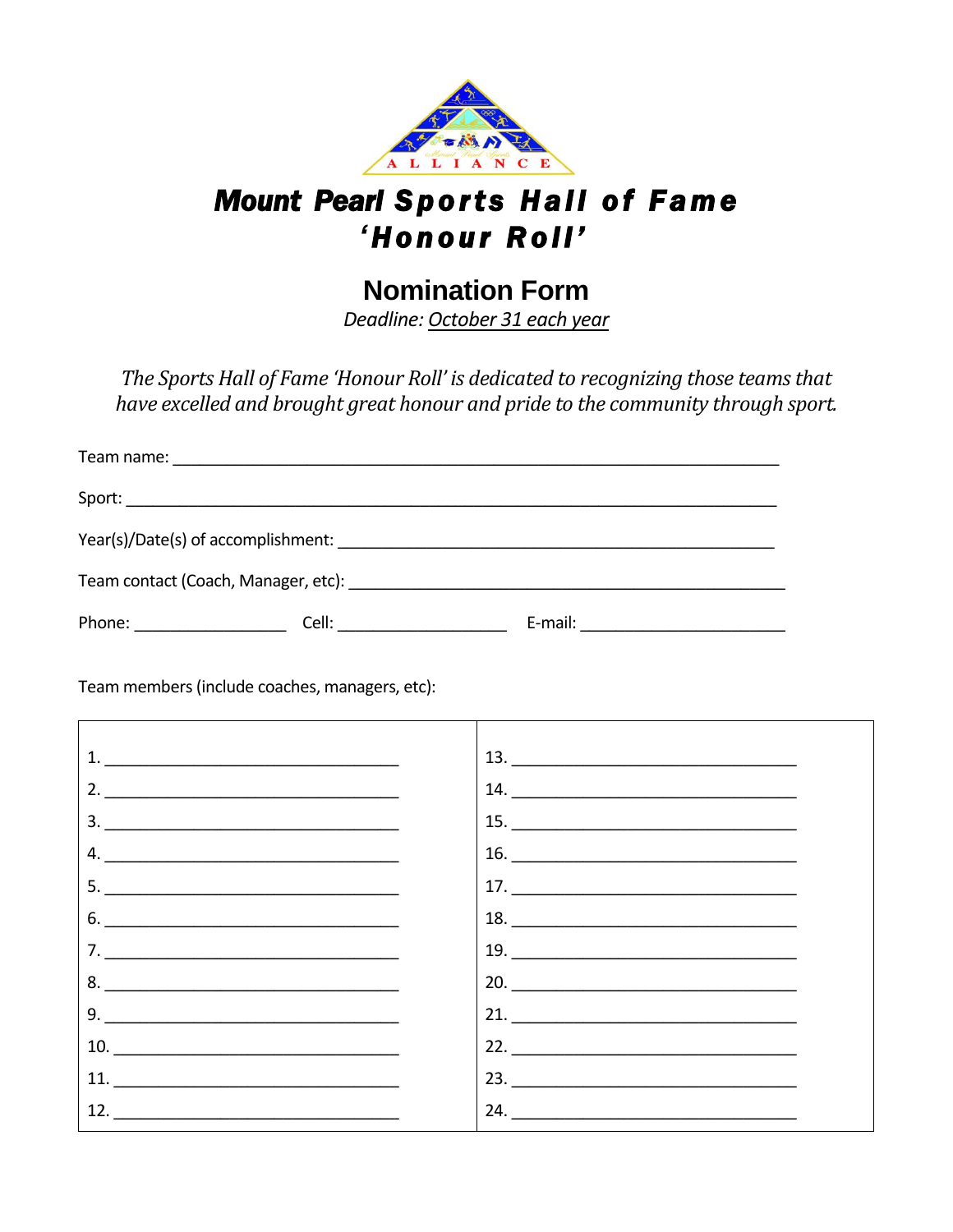

## **Mount Pearl Sports Hall of Fame** 'Honour Roll'

## **Nomination Form**

Deadline: October 31 each year

The Sports Hall of Fame 'Honour Roll' is dedicated to recognizing those teams that have excelled and brought great honour and pride to the community through sport.

| Team contact (Coach, Manager, etc): with a state of the control of the control of the control of the control o |                        |                                   |  |  |  |
|----------------------------------------------------------------------------------------------------------------|------------------------|-----------------------------------|--|--|--|
| Phone: _______________                                                                                         | Cell: ________________ | E-mail: _________________________ |  |  |  |

Team members (include coaches, managers, etc):

| 1. $\qquad \qquad$                                                        |                                                                                                                                                                                                                                                                                                                                                                                                                                                                                        |
|---------------------------------------------------------------------------|----------------------------------------------------------------------------------------------------------------------------------------------------------------------------------------------------------------------------------------------------------------------------------------------------------------------------------------------------------------------------------------------------------------------------------------------------------------------------------------|
| 2. $\overline{\phantom{a}}$                                               | $\begin{array}{c}\n 14. \quad \textcolor{red}{\textbf{22.12}} \quad \textcolor{red}{\textbf{23.13}} \quad \textcolor{red}{\textbf{24.13}} \quad \textcolor{red}{\textbf{25.13}} \quad \textcolor{red}{\textbf{26.13}} \quad \textcolor{red}{\textbf{27.13}} \quad \textcolor{red}{\textbf{28.13}} \quad \textcolor{red}{\textbf{29.13}} \quad \textcolor{red}{\textbf{21.13}} \quad \textcolor{red}{\textbf{21.13}} \quad \textcolor{red}{\textbf{21.13}} \quad \textcolor{red}{\text$ |
| $\begin{array}{c}\n3. \quad \textcolor{blue}{\textbf{2.12}}\n\end{array}$ | 15.                                                                                                                                                                                                                                                                                                                                                                                                                                                                                    |
| 4. $\qquad \qquad$                                                        | $\begin{tabular}{c} 16. \end{tabular}$                                                                                                                                                                                                                                                                                                                                                                                                                                                 |
| 5. $\qquad \qquad$                                                        | $\begin{array}{c}\n 17. \quad \textcolor{red}{\textbf{22.12}} \quad \textcolor{red}{\textbf{23.13}} \quad \textcolor{red}{\textbf{24.13}} \quad \textcolor{red}{\textbf{25.13}} \quad \textcolor{red}{\textbf{26.13}} \quad \textcolor{red}{\textbf{27.13}} \quad \textcolor{red}{\textbf{28.13}} \quad \textcolor{red}{\textbf{29.13}} \quad \textcolor{red}{\textbf{21.13}} \quad \textcolor{red}{\textbf{21.13}} \quad \textcolor{red}{\textbf{21.13}} \quad \textcolor{red}{\text$ |
| 6.                                                                        | $\begin{array}{c}\n 18. \quad \textcolor{red}{\textbf{---}}\n \end{array}$                                                                                                                                                                                                                                                                                                                                                                                                             |
| 7. $\qquad \qquad$                                                        | $\begin{array}{c}\n 19. \ \ \end{array}$                                                                                                                                                                                                                                                                                                                                                                                                                                               |
| $8. \qquad \qquad \overbrace{\qquad \qquad }$                             | 20.                                                                                                                                                                                                                                                                                                                                                                                                                                                                                    |
| 9. $\qquad$                                                               | 21.                                                                                                                                                                                                                                                                                                                                                                                                                                                                                    |
| $10. \qquad \qquad \overbrace{\qquad \qquad }$                            | 22. $\qquad \qquad$                                                                                                                                                                                                                                                                                                                                                                                                                                                                    |
|                                                                           | 23. $\qquad$                                                                                                                                                                                                                                                                                                                                                                                                                                                                           |
| 12. $\qquad \qquad$                                                       | 24. $\qquad \qquad$                                                                                                                                                                                                                                                                                                                                                                                                                                                                    |